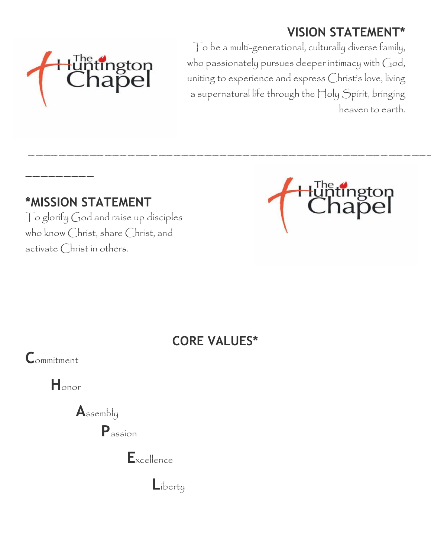# **VISION STATEMENT\***



To be a multi-generational, culturally diverse family, who passionately pursues deeper intimacy with  $God,$ uniting to experience and express Christ's love, living a supernatural life through the Holy Spirit, bringing heaven to earth.

## **\*MISSION STATEMENT**

To glorify God and raise up disciples who know Christ, share Christ, and activate Christ in others.



## **CORE VALUES\***